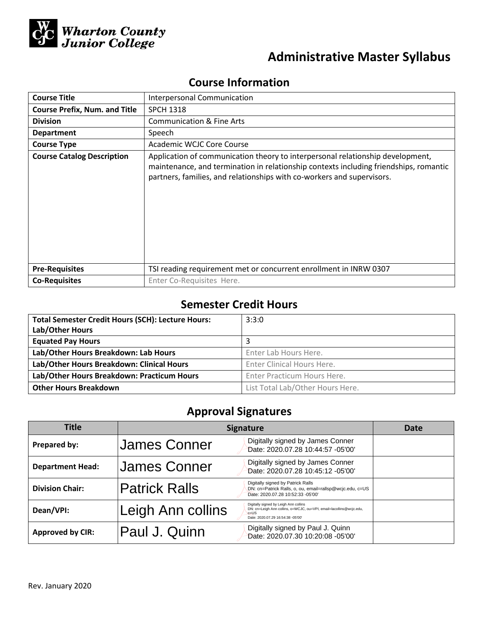

# **Administrative Master Syllabus**

# **Course Information**

| <b>Course Title</b>                  | Interpersonal Communication                                                                                                                                                                                                                       |  |  |
|--------------------------------------|---------------------------------------------------------------------------------------------------------------------------------------------------------------------------------------------------------------------------------------------------|--|--|
| <b>Course Prefix, Num. and Title</b> | <b>SPCH 1318</b>                                                                                                                                                                                                                                  |  |  |
| <b>Division</b>                      | <b>Communication &amp; Fine Arts</b>                                                                                                                                                                                                              |  |  |
| <b>Department</b>                    | Speech                                                                                                                                                                                                                                            |  |  |
| <b>Course Type</b>                   | Academic WCJC Core Course                                                                                                                                                                                                                         |  |  |
| <b>Course Catalog Description</b>    | Application of communication theory to interpersonal relationship development,<br>maintenance, and termination in relationship contexts including friendships, romantic<br>partners, families, and relationships with co-workers and supervisors. |  |  |
| <b>Pre-Requisites</b>                | TSI reading requirement met or concurrent enrollment in INRW 0307                                                                                                                                                                                 |  |  |
| <b>Co-Requisites</b>                 | Enter Co-Requisites Here.                                                                                                                                                                                                                         |  |  |

# **Semester Credit Hours**

| <b>Total Semester Credit Hours (SCH): Lecture Hours:</b> | 3:3:0                            |
|----------------------------------------------------------|----------------------------------|
| Lab/Other Hours                                          |                                  |
| <b>Equated Pay Hours</b>                                 |                                  |
| Lab/Other Hours Breakdown: Lab Hours                     | Enter Lab Hours Here.            |
| Lab/Other Hours Breakdown: Clinical Hours                | Enter Clinical Hours Here.       |
| Lab/Other Hours Breakdown: Practicum Hours               | Enter Practicum Hours Here.      |
| <b>Other Hours Breakdown</b>                             | List Total Lab/Other Hours Here. |

# **Approval Signatures**

| <b>Title</b>            | <b>Signature</b>     |                                                                                                                                                               | Date |
|-------------------------|----------------------|---------------------------------------------------------------------------------------------------------------------------------------------------------------|------|
| Prepared by:            | <b>James Conner</b>  | Digitally signed by James Conner<br>Date: 2020.07.28 10:44:57 -05'00'                                                                                         |      |
| <b>Department Head:</b> | <b>James Conner</b>  | Digitally signed by James Conner<br>Date: 2020.07.28 10:45:12 -05'00'                                                                                         |      |
| <b>Division Chair:</b>  | <b>Patrick Ralls</b> | Digitally signed by Patrick Ralls<br>DN: cn=Patrick Ralls, o, ou, email=rallsp@wcjc.edu, c=US<br>Date: 2020.07.28 10:52:33 -05'00'                            |      |
| Dean/VPI:               | Leigh Ann collins    | Digitally signed by Leigh Ann collins<br>DN: cn=Leigh Ann collins, o=WCJC, ou=VPI, email=lacollins@wcjc.edu,<br>$c = US$<br>Date: 2020.07.29 16:54:38 -05'00' |      |
| <b>Approved by CIR:</b> | Paul J. Quinn        | Digitally signed by Paul J. Quinn<br>Date: 2020.07.30 10:20:08 -05'00'                                                                                        |      |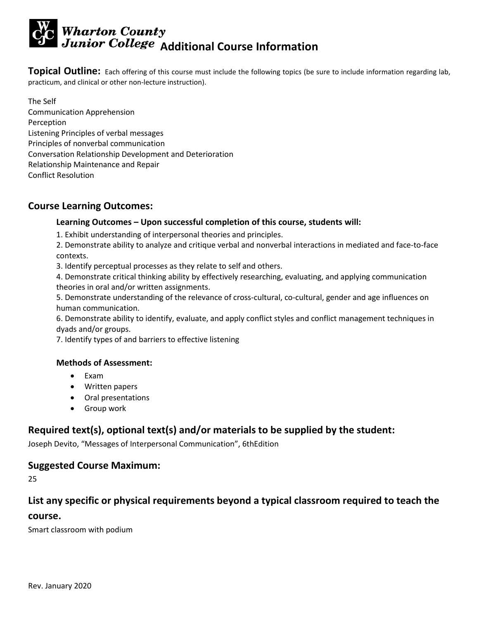# **Wharton County<br>Junior College Additional Course Information**

**Topical Outline:** Each offering of this course must include the following topics (be sure to include information regarding lab, practicum, and clinical or other non-lecture instruction).

The Self Communication Apprehension Perception Listening Principles of verbal messages Principles of nonverbal communication Conversation Relationship Development and Deterioration Relationship Maintenance and Repair Conflict Resolution

#### **Course Learning Outcomes:**

#### **Learning Outcomes – Upon successful completion of this course, students will:**

1. Exhibit understanding of interpersonal theories and principles.

2. Demonstrate ability to analyze and critique verbal and nonverbal interactions in mediated and face-to-face contexts.

3. Identify perceptual processes as they relate to self and others.

4. Demonstrate critical thinking ability by effectively researching, evaluating, and applying communication theories in oral and/or written assignments.

5. Demonstrate understanding of the relevance of cross-cultural, co-cultural, gender and age influences on human communication.

6. Demonstrate ability to identify, evaluate, and apply conflict styles and conflict management techniques in dyads and/or groups.

7. Identify types of and barriers to effective listening

#### **Methods of Assessment:**

- Exam
- Written papers
- Oral presentations
- Group work

# **Required text(s), optional text(s) and/or materials to be supplied by the student:**

Joseph Devito, "Messages of Interpersonal Communication", 6thEdition

#### **Suggested Course Maximum:**

25

#### **List any specific or physical requirements beyond a typical classroom required to teach the**

#### **course.**

Smart classroom with podium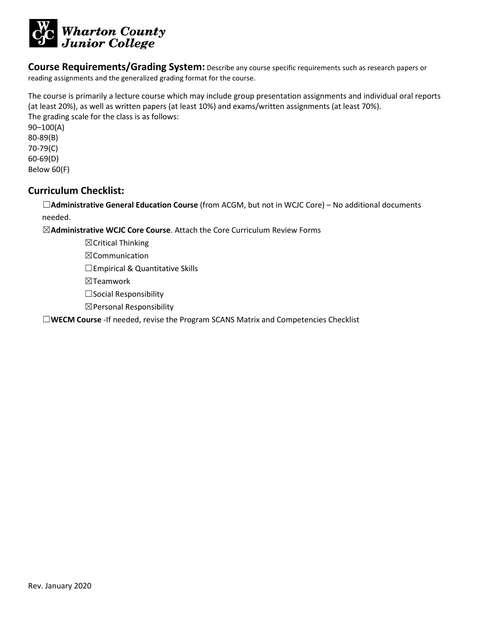

**Course Requirements/Grading System:** Describe any course specific requirements such as research papers or reading assignments and the generalized grading format for the course.

The course is primarily a lecture course which may include group presentation assignments and individual oral reports (at least 20%), as well as written papers (at least 10%) and exams/written assignments (at least 70%). The grading scale for the class is as follows:

90–100(A) 80-89(B) 70-79(C) 60-69(D) Below 60(F)

#### **Curriculum Checklist:**

☐**Administrative General Education Course** (from ACGM, but not in WCJC Core) – No additional documents needed.

☒**Administrative WCJC Core Course**. Attach the Core Curriculum Review Forms

☒Critical Thinking

☒Communication

□Empirical & Quantitative Skills

☒Teamwork

☐Social Responsibility

☒Personal Responsibility

☐**WECM Course** -If needed, revise the Program SCANS Matrix and Competencies Checklist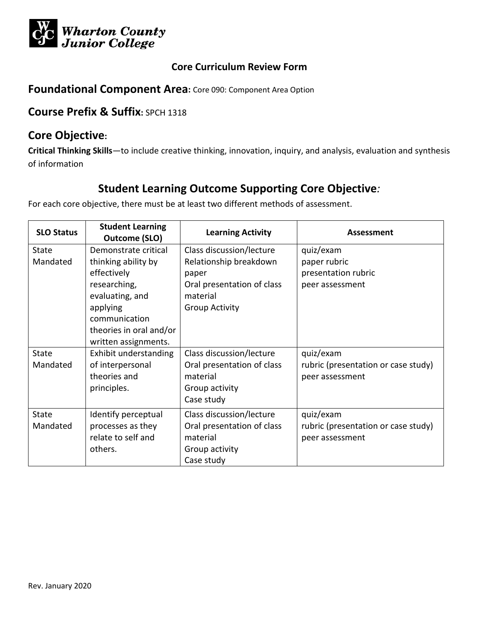

## **Foundational Component Area:** Core 090: Component Area Option

# **Course Prefix & Suffix:** SPCH 1318

# **Core Objective:**

**Critical Thinking Skills**—to include creative thinking, innovation, inquiry, and analysis, evaluation and synthesis of information

# **Student Learning Outcome Supporting Core Objective***:*

| <b>SLO Status</b> | <b>Student Learning</b><br><b>Outcome (SLO)</b> | <b>Learning Activity</b>   | <b>Assessment</b>                   |
|-------------------|-------------------------------------------------|----------------------------|-------------------------------------|
| <b>State</b>      | Demonstrate critical                            | Class discussion/lecture   | quiz/exam                           |
| Mandated          | thinking ability by                             | Relationship breakdown     | paper rubric                        |
|                   | effectively                                     | paper                      | presentation rubric                 |
|                   | researching,                                    | Oral presentation of class | peer assessment                     |
|                   | evaluating, and                                 | material                   |                                     |
|                   | applying                                        | <b>Group Activity</b>      |                                     |
|                   | communication                                   |                            |                                     |
|                   | theories in oral and/or                         |                            |                                     |
|                   | written assignments.                            |                            |                                     |
| <b>State</b>      | Exhibit understanding                           | Class discussion/lecture   | quiz/exam                           |
| Mandated          | of interpersonal                                | Oral presentation of class | rubric (presentation or case study) |
|                   | theories and                                    | material                   | peer assessment                     |
|                   | principles.                                     | Group activity             |                                     |
|                   |                                                 | Case study                 |                                     |
| <b>State</b>      | Identify perceptual                             | Class discussion/lecture   | quiz/exam                           |
| Mandated          | processes as they                               | Oral presentation of class | rubric (presentation or case study) |
|                   | relate to self and                              | material                   | peer assessment                     |
|                   | others.                                         | Group activity             |                                     |
|                   |                                                 | Case study                 |                                     |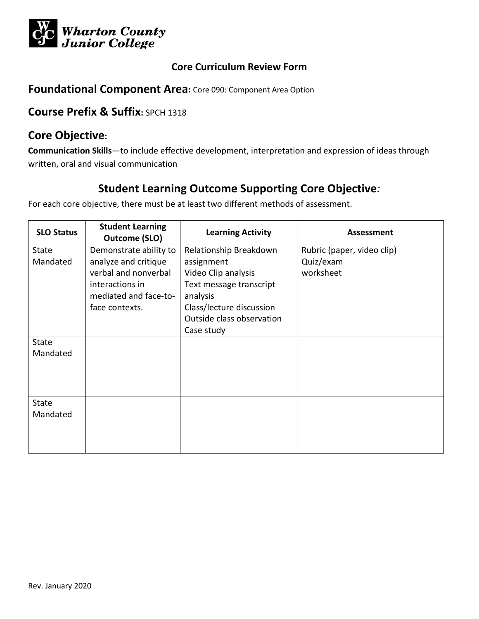

## **Foundational Component Area:** Core 090: Component Area Option

# **Course Prefix & Suffix:** SPCH 1318

# **Core Objective:**

**Communication Skills**—to include effective development, interpretation and expression of ideas through written, oral and visual communication

# **Student Learning Outcome Supporting Core Objective***:*

| <b>SLO Status</b> | <b>Student Learning</b><br>Outcome (SLO) | <b>Learning Activity</b>  | Assessment                 |
|-------------------|------------------------------------------|---------------------------|----------------------------|
| State             | Demonstrate ability to                   | Relationship Breakdown    | Rubric (paper, video clip) |
| Mandated          | analyze and critique                     | assignment                | Quiz/exam                  |
|                   | verbal and nonverbal                     | Video Clip analysis       | worksheet                  |
|                   | interactions in                          | Text message transcript   |                            |
|                   | mediated and face-to-                    | analysis                  |                            |
|                   | face contexts.                           | Class/lecture discussion  |                            |
|                   |                                          | Outside class observation |                            |
|                   |                                          | Case study                |                            |
| <b>State</b>      |                                          |                           |                            |
| Mandated          |                                          |                           |                            |
|                   |                                          |                           |                            |
|                   |                                          |                           |                            |
|                   |                                          |                           |                            |
| <b>State</b>      |                                          |                           |                            |
| Mandated          |                                          |                           |                            |
|                   |                                          |                           |                            |
|                   |                                          |                           |                            |
|                   |                                          |                           |                            |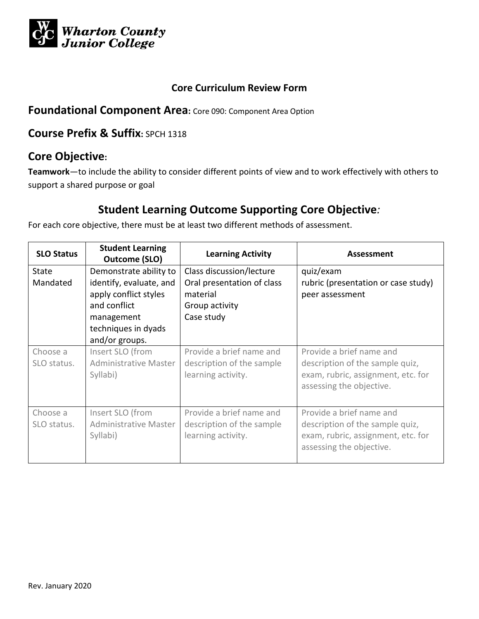

## **Foundational Component Area:** Core 090: Component Area Option

# **Course Prefix & Suffix:** SPCH 1318

# **Core Objective:**

**Teamwork**—to include the ability to consider different points of view and to work effectively with others to support a shared purpose or goal

# **Student Learning Outcome Supporting Core Objective***:*

| <b>SLO Status</b> | <b>Student Learning</b><br>Outcome (SLO) | <b>Learning Activity</b>   | Assessment                          |
|-------------------|------------------------------------------|----------------------------|-------------------------------------|
| <b>State</b>      | Demonstrate ability to                   | Class discussion/lecture   | quiz/exam                           |
| Mandated          | identify, evaluate, and                  | Oral presentation of class | rubric (presentation or case study) |
|                   | apply conflict styles                    | material                   | peer assessment                     |
|                   | and conflict                             | Group activity             |                                     |
|                   | management                               | Case study                 |                                     |
|                   | techniques in dyads                      |                            |                                     |
|                   | and/or groups.                           |                            |                                     |
| Choose a          | Insert SLO (from                         | Provide a brief name and   | Provide a brief name and            |
| SLO status.       | Administrative Master                    | description of the sample  | description of the sample quiz,     |
|                   | Syllabi)                                 | learning activity.         | exam, rubric, assignment, etc. for  |
|                   |                                          |                            | assessing the objective.            |
|                   |                                          |                            |                                     |
| Choose a          | Insert SLO (from                         | Provide a brief name and   | Provide a brief name and            |
| SLO status.       | <b>Administrative Master</b>             | description of the sample  | description of the sample quiz,     |
|                   | Syllabi)                                 | learning activity.         | exam, rubric, assignment, etc. for  |
|                   |                                          |                            | assessing the objective.            |
|                   |                                          |                            |                                     |